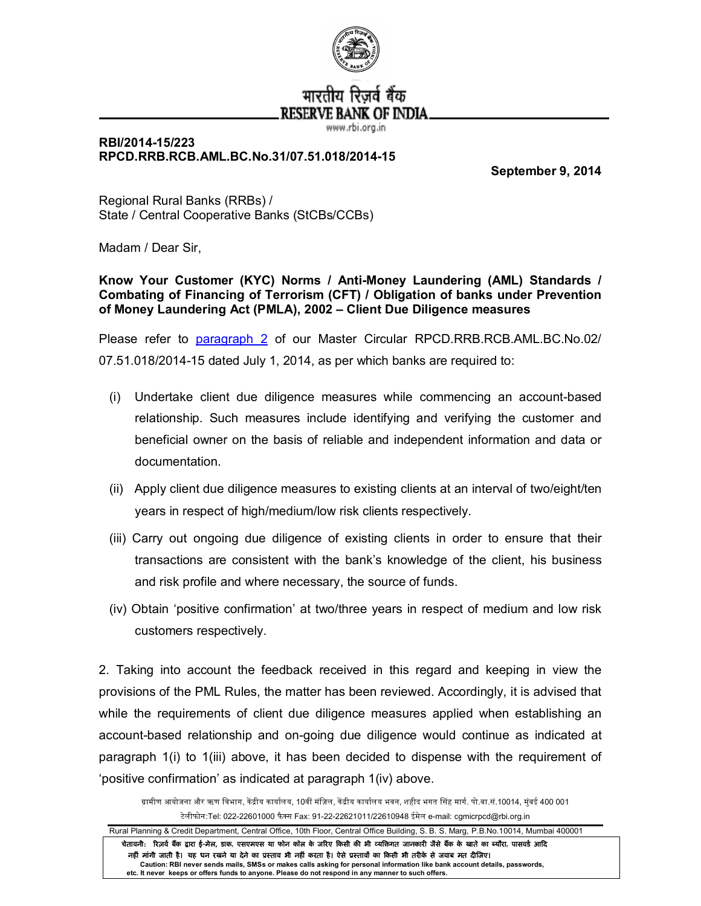

## **RBI/2014-15/223 RPCD.RRB.RCB.AML.BC.No.31/07.51.018/2014-15**

**September 9, 2014**

Regional Rural Banks (RRBs) / State / Central Cooperative Banks (StCBs/CCBs)

Madam / Dear Sir,

**Know Your Customer (KYC) Norms / Anti-Money Laundering (AML) Standards / Combating of Financing of Terrorism (CFT) / Obligation of banks under Prevention of Money Laundering Act (PMLA), 2002 – Client Due Diligence measures**

Please refer to [paragraph 2](http://rbi.org.in/scripts/NotificationUser.aspx?Id=9074&Mode=0%232) of our Master Circular RPCD.RRB.RCB.AML.BC.No.02/ 07.51.018/2014-15 dated July 1, 2014, as per which banks are required to:

- (i) Undertake client due diligence measures while commencing an account-based relationship. Such measures include identifying and verifying the customer and beneficial owner on the basis of reliable and independent information and data or documentation.
- (ii) Apply client due diligence measures to existing clients at an interval of two/eight/ten years in respect of high/medium/low risk clients respectively.
- (iii) Carry out ongoing due diligence of existing clients in order to ensure that their transactions are consistent with the bank's knowledge of the client, his business and risk profile and where necessary, the source of funds.
- (iv) Obtain 'positive confirmation' at two/three years in respect of medium and low risk customers respectively.

2. Taking into account the feedback received in this regard and keeping in view the provisions of the PML Rules, the matter has been reviewed. Accordingly, it is advised that while the requirements of client due diligence measures applied when establishing an account-based relationship and on-going due diligence would continue as indicated at paragraph 1(i) to 1(iii) above, it has been decided to dispense with the requirement of 'positive confirmation' as indicated at paragraph 1(iv) above.

ग्रामीण आयोजना और ऋण विभाग, केंद्रीय कार्यालय, 10वीं मंज़िल, केंद्रीय कार्यालय भवन, शहीद भगत सिंह मार्ग. पो.बा.सं.10014, मुंबई 400 001 टेलीफोन:Tel: 022-22601000 फैस Fax: 91-22-22621011/22610948 ईमेल e-mail: cgmicrpcd@rbi.org.in

Rural Planning & Credit Department, Central Office, 10th Floor, Central Office Building, S. B. S. Marg, P.B.No.10014, Mumbai 400001 चेतावनी: रिज़र्व बैंक द्वारा ई-मेल, डाक, एसएमएस या फोन कॉल के जरिए किसी की भी व्यक्तिगत जानकारी जैसे बैंक के खाते का ब्यौरा, पासवर्ड आदि नहीं मांगी जाती है। यह धन रखने या देने का प्रस्ताव भी नहीं करता है। ऐसे प्रस्तावों का किसी भी तरीके से जवाब मत दीजिए। **Caution: RBI never sends mails, SMSs or makes calls asking for personal information like bank account details, passwords, etc. It never keeps or offers funds to anyone. Please do not respond in any manner to such offers.**